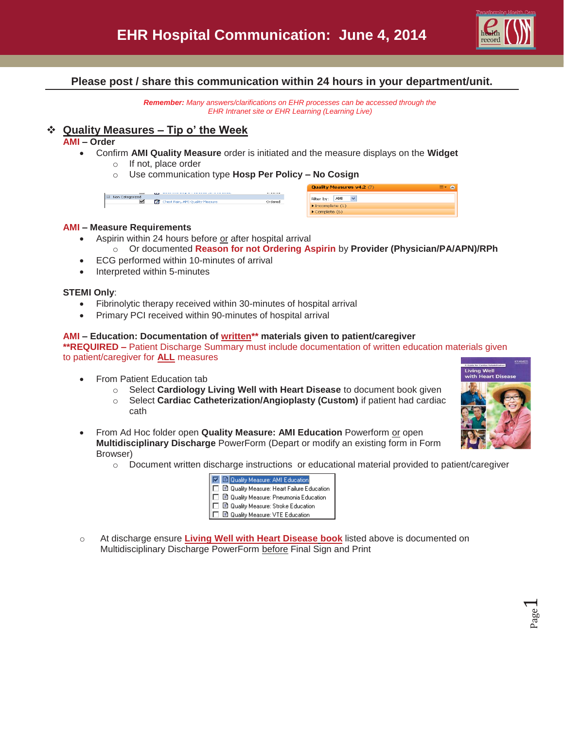

## **Please post / share this communication within 24 hours in your department/unit.**

*Remember: Many answers/clarifications on EHR processes can be accessed through the EHR Intranet site or EHR Learning (Learning Live)* 

### **Quality Measures – Tip o' the Week**

#### **AMI – Order**

- x Confirm **AMI Quality Measure** order is initiated and the measure displays on the **Widget**
	- o If not, place order
	- o Use communication type **Hosp Per Policy – No Cosign**

|                                                          |                                       |                    | Quality Measures v4.2 (7)                                                  | $\equiv$ $\sim$ $\approx$ |
|----------------------------------------------------------|---------------------------------------|--------------------|----------------------------------------------------------------------------|---------------------------|
| $\overline{\phantom{a}}$<br>El Non Categorized<br>$\sim$ | Г.<br>Chest Pain, AMI Quality Measure | -------<br>Ordered | AMI<br>Filter by:                                                          |                           |
|                                                          |                                       |                    | $\blacktriangleright$ Incomplete (1)<br>$\blacktriangleright$ Complete (6) |                           |

#### **AMI – Measure Requirements**

- Aspirin within 24 hours before or after hospital arrival o Or documented **Reason for not Ordering Aspirin** by **Provider (Physician/PA/APN)/RPh**
- ECG performed within 10-minutes of arrival
- Interpreted within 5-minutes

#### **STEMI Only**:

- Fibrinolytic therapy received within 30-minutes of hospital arrival
- Primary PCI received within 90-minutes of hospital arrival

#### **AMI – Education: Documentation of written\*\* materials given to patient/caregiver**

**\*\*REQUIRED –** Patient Discharge Summary must include documentation of written education materials given to patient/caregiver for **ALL** measures

- From Patient Education tab
	- o Select **Cardiology Living Well with Heart Disease** to document book given
	- o Select **Cardiac Catheterization/Angioplasty (Custom)** if patient had cardiac cath
- x From Ad Hoc folder open **Quality Measure: AMI Education** Powerform or open **Multidisciplinary Discharge** PowerForm (Depart or modify an existing form in Form Browser)
	- o Document written discharge instructions or educational material provided to patient/caregiver

| El Quality Measure: AMI Education          |  |
|--------------------------------------------|--|
| 目 Quality Measure: Heart Failure Education |  |
| 目 Quality Measure: Pneumonia Education     |  |
| ■ Quality Measure: Stroke Education        |  |
| ■ Quality Measure: VTE Education           |  |

o At discharge ensure **Living Well with Heart Disease book** listed above is documented on Multidisciplinary Discharge PowerForm before Final Sign and Print

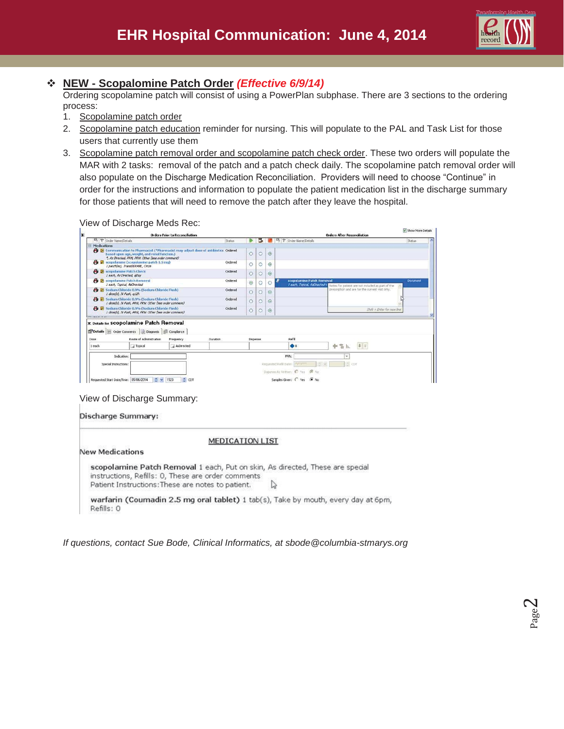

# **NEW - Scopalomine Patch Order** *(Effective 6/9/14)*

Ordering scopolamine patch will consist of using a PowerPlan subphase. There are 3 sections to the ordering process:

- 1. Scopolamine patch order
- 2. Scopolamine patch education reminder for nursing. This will populate to the PAL and Task List for those users that currently use them
- 3. Scopolamine patch removal order and scopolamine patch check order. These two orders will populate the MAR with 2 tasks: removal of the patch and a patch check daily. The scopolamine patch removal order will also populate on the Discharge Medication Reconciliation. Providers will need to choose "Continue" in order for the instructions and information to populate the patient medication list in the discharge summary for those patients that will need to remove the patch after they leave the hospital.

View of Discharge Meds Rec:

|                                                                                                     | ັ                                                                                                                             | <b>Orders Prior to Reconciliation</b>                                                           |         |          |    |         |                                 | <b>Orders After Reconciliation</b>                                              | Show More Details |  |
|-----------------------------------------------------------------------------------------------------|-------------------------------------------------------------------------------------------------------------------------------|-------------------------------------------------------------------------------------------------|---------|----------|----|---------|---------------------------------|---------------------------------------------------------------------------------|-------------------|--|
| <b>B マ</b> Order Name/Details                                                                       |                                                                                                                               |                                                                                                 | Status  |          | ъ. |         | B マ Order Name/Details          |                                                                                 | Stabus            |  |
| E Medications                                                                                       |                                                                                                                               |                                                                                                 |         |          |    |         |                                 |                                                                                 |                   |  |
|                                                                                                     | based upon age, weight, and renal function.)<br>*, As Directed, PRN, PRN: Other (see order comment)                           | <sup>2</sup> El Communication to Pharmacist (*Pharmacist may adjust dose of antibiotics Ordered |         | Ö        | Ċ  | $\odot$ |                                 |                                                                                 |                   |  |
| I patch(es), TransDERMAL, Once                                                                      | <b>B</b> scopolamine (scopolamine patch 1.5 mg)                                                                               |                                                                                                 | Ordered | O        | O  | ◉       |                                 |                                                                                 |                   |  |
| <b>Patch Check</b><br>I each, As Directed, aDay                                                     |                                                                                                                               |                                                                                                 | Ordered | Ö        | C  | $\odot$ |                                 |                                                                                 |                   |  |
| <b>PB E</b> scopolamine Patch Removal<br>1 each, Topical, AsDirected                                |                                                                                                                               |                                                                                                 | Ordered | ۵        | Ç  | O       | scopolamine Patch Removal       | I each, Topical, AsOnstited < Notes for patient are not included as part of the | <b>Document</b>   |  |
| 1 dose(s), IV Push, a12h                                                                            | <b>Pg</b> E Sodium Chloride 0.9% (Sodium Chloride Flush)                                                                      |                                                                                                 | Ordered | Ċ        | C  | ◉       |                                 | prescription and are for the current visit only.                                |                   |  |
|                                                                                                     | <sup>1</sup> <b>1</b> Sodium Chloride 0.9% (Sodium Chloride Flush)<br>1 dose(s), IV Push, PRN, PRN: Other (see order comment) |                                                                                                 | Ordered | C        | С  | $\odot$ |                                 |                                                                                 |                   |  |
|                                                                                                     | <b>B</b> Sodium Chloride 0.9% (Sodium Chloride Flush)<br>I dose(s), IV Push, PRN, PRN: Other (see order comment)              |                                                                                                 | Ordered | Ö        | C  | $\odot$ |                                 | $Shrf + Enter for new line$                                                     |                   |  |
| E Details for SCOpolamine Patch Removal<br>Details   Order Comments   Diagnosis   Complance<br>Dose | Route of Administration                                                                                                       | Frequency<br>Duration                                                                           |         | Dispense |    |         | Refil                           |                                                                                 |                   |  |
| 1 each                                                                                              | <b>Topical</b>                                                                                                                | AsDirected                                                                                      |         |          |    |         | $\clubsuit$                     | 4 x<br>÷<br>$\cong$ h                                                           |                   |  |
| Indication:                                                                                         |                                                                                                                               |                                                                                                 |         |          |    |         | PRN:                            | ٠                                                                               |                   |  |
| Special Instructions:                                                                               |                                                                                                                               |                                                                                                 |         |          |    |         | Ramsezad Refil Date:            | CDT                                                                             |                   |  |
|                                                                                                     |                                                                                                                               |                                                                                                 |         |          |    |         | Dispense As Written: C Yes G No |                                                                                 |                   |  |
| Requested Start Date/Time: 05/06/2014                                                               | $C \sim 1523$                                                                                                                 | $C$ CDT                                                                                         |         |          |    |         | Samples Given: ( Yes @ No       |                                                                                 |                   |  |

View of Discharge Summary:

Discharge Summary:

**MEDICATION LIST** 

**New Medications** 

scopolamine Patch Removal 1 each, Put on skin, As directed, These are special instructions, Refills: 0, These are order comments Patient Instructions: These are notes to patient. ↳

warfarin (Coumadin 2.5 mg oral tablet) 1 tab(s), Take by mouth, every day at 6pm, Refills: 0

*If questions, contact Sue Bode, Clinical Informatics, at sbode@columbia-stmarys.org*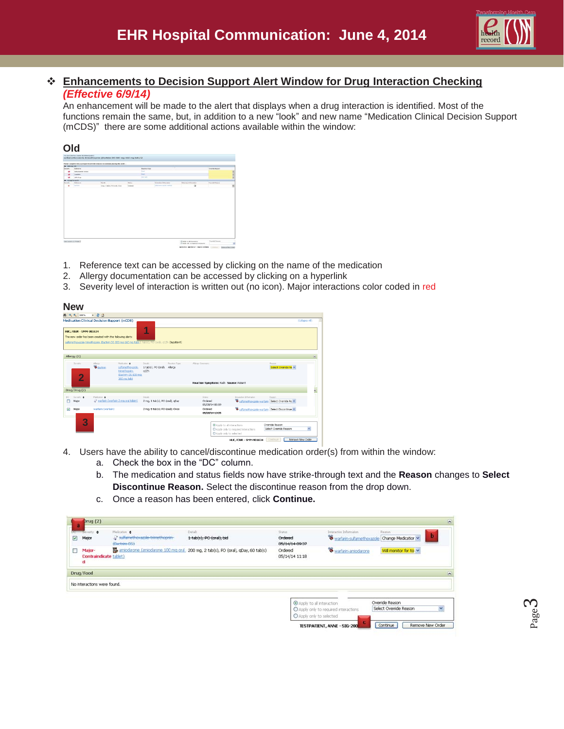

## **Enhancements to Decision Support Alert Window for Drug Interaction Checking**  *(Effective 6/9/14)*

An enhancement will be made to the alert that displays when a drug interaction is identified. Most of the functions remain the same, but, in addition to a new "look" and new name "Medication Clinical Decision Support (mCDS)" there are some additional actions available within the window:

|                  |                                         | Please complete the CO required complete requires to continue plains this point. |             |                               |                                |                              |                       |              |
|------------------|-----------------------------------------|----------------------------------------------------------------------------------|-------------|-------------------------------|--------------------------------|------------------------------|-----------------------|--------------|
| <b>K NHHAVIT</b> |                                         |                                                                                  |             |                               |                                |                              |                       |              |
| bovens.          | <b>BARNICK</b>                          |                                                                                  |             | Reactory Super<br><b>Walk</b> |                                |                              | <b>Charles Falcon</b> |              |
| ٠                | <b><i><u>Substantial Solvey</u></i></b> |                                                                                  |             |                               |                                |                              |                       |              |
| ٠                | CHARGE                                  |                                                                                  |             | <b>And</b><br><b>HELLAR</b>   |                                |                              |                       | <b>EDMON</b> |
| ٠                | safe drugs                              |                                                                                  |             |                               |                                |                              |                       |              |
| 2                | CHARGED IT<br>haras                     | <b>County</b>                                                                    | <b>Bond</b> |                               | <b>Interesting Information</b> | <b>Reference Information</b> | Convole Anguin        |              |
| ٠                | <b>Hartist</b>                          | I can Student, PO-traids, Onio-                                                  | Crawel      |                               | Information is well as         | $\omega$                     |                       | ×.           |
|                  |                                         |                                                                                  |             |                               |                                |                              |                       |              |

- 1. Reference text can be accessed by clicking on the name of the medication
- 2. Allergy documentation can be accessed by clicking on a hyperlink
- 3. Severity level of interaction is written out (no icon). Major interactions color coded in red

|  | $-$ |  |
|--|-----|--|
|  |     |  |

| $46 - 4 = 100\%$               | $-2a$                                                                                                                     |                                                                                                        |                                                             |                                       |                                                       |                  |
|--------------------------------|---------------------------------------------------------------------------------------------------------------------------|--------------------------------------------------------------------------------------------------------|-------------------------------------------------------------|---------------------------------------|-------------------------------------------------------|------------------|
| <b>HUC, FOUR - SMM-901634</b>  | <b>Medication Clinical Decision Support (mCDS)</b><br>The new order has been created with the following alerts:           | z<br>sulfamethoxazole-trimethoprim_Bactrim DS 800 mg-160 mg tao131 tao131, PO (oral), g12h (Inpatient) |                                                             |                                       |                                                       | (Collapse All)   |
| Allergy (1)                    |                                                                                                                           |                                                                                                        |                                                             |                                       |                                                       |                  |
| Sevelty<br>2                   | Allegy<br>Medication .<br><sup>8</sup> Bactrim<br>sulfamethoxazole-<br>trimethoprim<br>(Bactrim DS 800 mg)<br>160 mg tab) | Reaction Type<br>Details<br>1 tab(s), PO (oral), Allergy<br>a12h                                       | Allergy Comments<br>Reaction Symptoms: Rash Source: Patient |                                       | Reason<br>Select Override Re                          |                  |
| Drug/Drug (2)                  |                                                                                                                           |                                                                                                        |                                                             |                                       |                                                       |                  |
| Severty .<br>DC.<br>Mator<br>п | Holication &<br>warfarin (warfarin 2 mg oral tablet)                                                                      | Details<br>2 mg, 1 tab(s), PO (oral), gDay                                                             | Status<br>Ordered<br>05/20/14 09:19                         | Interación Information                | Reason<br>Salfamethoxaple-warfarin Select Override Re |                  |
| Ø<br>Major                     | warfarin (warfarin)                                                                                                       | 2-mg. 1-tabls), PO-(oral), Once                                                                        | <b>Ordered</b><br>05/20/14 10:05                            |                                       | Confamethorizmle-warfarin Select Discontinue          |                  |
| 3                              |                                                                                                                           |                                                                                                        | Apply to all interactions<br>C Apply only to selected       | C Apply only to required interactions | Override Reason<br>Select Override Reason             | $\checkmark$     |
|                                |                                                                                                                           |                                                                                                        |                                                             | HUC, FOUR - SMM-901634                | Continue                                              | Remove New Order |

- 4. Users have the ability to cancel/discontinue medication order(s) from within the window:
	- a. Check the box in the "DC" column.
	- b. The medication and status fields now have strike-through text and the **Reason** changes to **Select Discontinue Reason.** Select the discontinue reason from the drop down.
	- c. Once a reason has been entered, click **Continue.**

| $\ddot{a}$              | brug(2)                                      |                                                                   |                                                                                      |                                                        |                                                                          |                                           |                  |
|-------------------------|----------------------------------------------|-------------------------------------------------------------------|--------------------------------------------------------------------------------------|--------------------------------------------------------|--------------------------------------------------------------------------|-------------------------------------------|------------------|
| $\overline{\mathbf{v}}$ | Novemy, &<br>Major                           | Medication @<br>a suffamethoriazole-trimethoprim-<br>(Bactrim DS) | Details<br>1-tab(s), PO (cral), bid                                                  | Status<br><b>Grdered</b><br>85/14/14 09:37             | Interaction Information<br>Warfarin-sulfamethoxazole Change Medication V | Reason                                    | b                |
| □                       | Major-<br><b>Contraindicate tablet)</b><br>d |                                                                   | sie amiodarone (amiodarone 100 mg cral) 200 mg, 2 tab(s), PO (oral), qDay, 60 tab(s) | Ordered<br>05/14/14 11:18                              | Warfarin-amiodarone                                                      | Will monitor for to v                     |                  |
|                         | Drug/Food                                    |                                                                   |                                                                                      |                                                        |                                                                          |                                           |                  |
|                         | No interactions were found.                  |                                                                   |                                                                                      |                                                        |                                                                          |                                           |                  |
|                         |                                              |                                                                   |                                                                                      | C Apply to all interaction<br>O Apply only to selected | O Apply only to required interactions                                    | Override Reason<br>Select Override Reason | v                |
|                         |                                              |                                                                   |                                                                                      |                                                        | <b>TESTPATIENT, ANNE - SIG-200</b>                                       | Continue                                  | Remove New Order |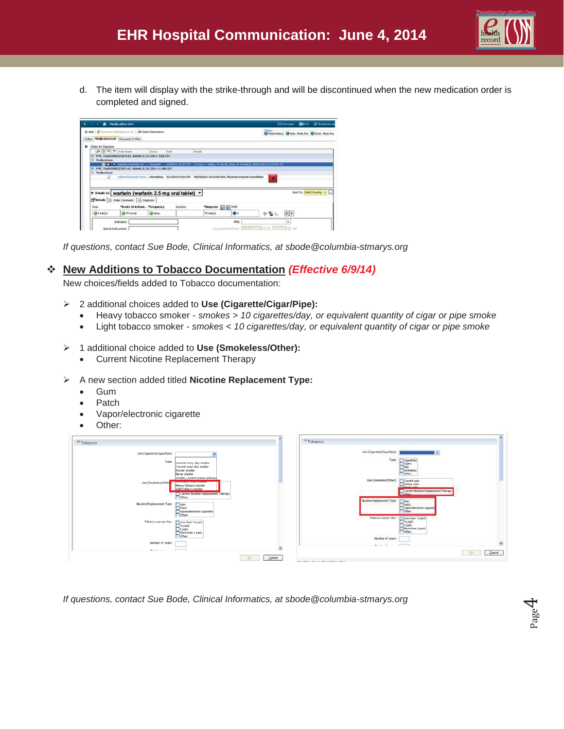

d. The item will display with the strike-through and will be discontinued when the new medication order is completed and signed.



*If questions, contact Sue Bode, Clinical Informatics, at sbode@columbia-stmarys.org* 

## **New Additions to Tobacco Documentation** *(Effective 6/9/14)*

New choices/fields added to Tobacco documentation:

- ¾ 2 additional choices added to **Use (Cigarette/Cigar/Pipe):**
	- x Heavy tobacco smoker *smokes > 10 cigarettes/day, or equivalent quantity of cigar or pipe smoke*

Number of years:

- x Light tobacco smoker *smokes < 10 cigarettes/day, or equivalent quantity of cigar or pipe smoke*
- ¾ 1 additional choice added to **Use (Smokeless/Other):** 
	- Current Nicotine Replacement Therapy
- ¾ A new section added titled **Nicotine Replacement Type:**
	- **Gum**
	- Patch
	- x Vapor/electronic cigarette
	- Other:



*If questions, contact Sue Bode, Clinical Informatics, at sbode@columbia-stmarys.org* 

DK Cancel